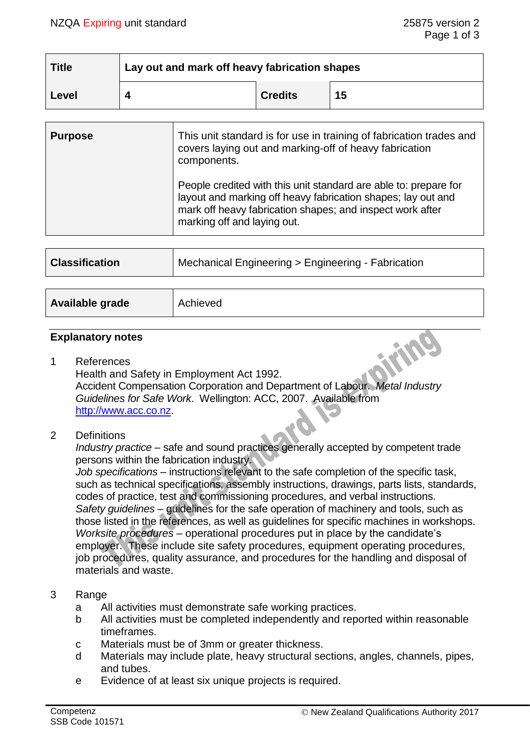| <b>Title</b> | Lay out and mark off heavy fabrication shapes |                |    |
|--------------|-----------------------------------------------|----------------|----|
| Level        |                                               | <b>Credits</b> | 15 |

| This unit standard is for use in training of fabrication trades and<br>covers laying out and marking-off of heavy fabrication<br>components.<br>People credited with this unit standard are able to: prepare for<br>layout and marking off heavy fabrication shapes; lay out and<br>mark off heavy fabrication shapes; and inspect work after<br>marking off and laying out. |
|------------------------------------------------------------------------------------------------------------------------------------------------------------------------------------------------------------------------------------------------------------------------------------------------------------------------------------------------------------------------------|
| Mechanical Engineering > Engineering - Fabrication                                                                                                                                                                                                                                                                                                                           |
|                                                                                                                                                                                                                                                                                                                                                                              |

|  |  | Available grade | Achieved |
|--|--|-----------------|----------|
|--|--|-----------------|----------|

#### **Explanatory notes**

- 1 References Health and Safety in Employment Act 1992. Accident Compensation Corporation and Department of Labour. *Metal Industry Guidelines for Safe Work*. Wellington: ACC, 2007. Available from [http://www.acc.co.nz.](http://www.acc.co.nz/)
- 2 Definitions

*Industry practice* – safe and sound practices generally accepted by competent trade persons within the fabrication industry.

*Job specifications* – instructions relevant to the safe completion of the specific task, such as technical specifications, assembly instructions, drawings, parts lists, standards, codes of practice, test and commissioning procedures, and verbal instructions. *Safety guidelines* – guidelines for the safe operation of machinery and tools, such as those listed in the references, as well as guidelines for specific machines in workshops. *Worksite procedures* – operational procedures put in place by the candidate's employer. These include site safety procedures, equipment operating procedures, job procedures, quality assurance, and procedures for the handling and disposal of materials and waste.

## 3 Range

- a All activities must demonstrate safe working practices.
- b All activities must be completed independently and reported within reasonable timeframes.
- c Materials must be of 3mm or greater thickness.
- d Materials may include plate, heavy structural sections, angles, channels, pipes, and tubes.
- e Evidence of at least six unique projects is required.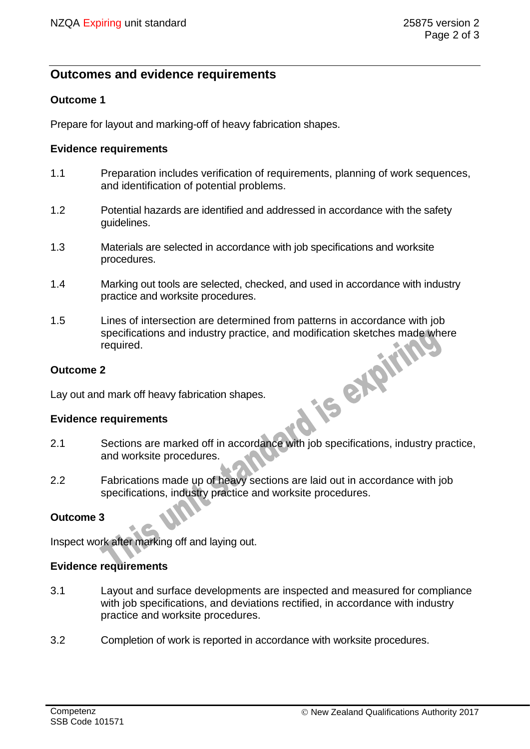# **Outcomes and evidence requirements**

## **Outcome 1**

Prepare for layout and marking-off of heavy fabrication shapes.

#### **Evidence requirements**

- 1.1 Preparation includes verification of requirements, planning of work sequences, and identification of potential problems.
- 1.2 Potential hazards are identified and addressed in accordance with the safety guidelines.
- 1.3 Materials are selected in accordance with job specifications and worksite procedures.
- 1.4 Marking out tools are selected, checked, and used in accordance with industry practice and worksite procedures.
- 1.5 Lines of intersection are determined from patterns in accordance with job specifications and industry practice, and modification sketches made where<br>required.<br>2<br>d mark off heavy fabrication shapes.<br>requirements required.

#### **Outcome 2**

Lay out and mark off heavy fabrication shapes.

#### **Evidence requirements**

- 2.1 Sections are marked off in accordance with job specifications, industry practice, and worksite procedures.
- 2.2 Fabrications made up of heavy sections are laid out in accordance with job specifications, industry practice and worksite procedures.

#### **Outcome 3**

Inspect work after marking off and laying out.

#### **Evidence requirements**

- 3.1 Layout and surface developments are inspected and measured for compliance with job specifications, and deviations rectified, in accordance with industry practice and worksite procedures.
- 3.2 Completion of work is reported in accordance with worksite procedures.